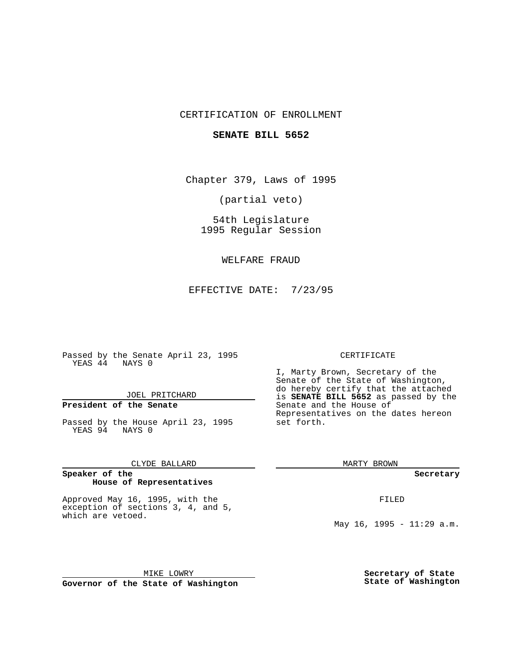## CERTIFICATION OF ENROLLMENT

### **SENATE BILL 5652**

Chapter 379, Laws of 1995

(partial veto)

54th Legislature 1995 Regular Session

WELFARE FRAUD

EFFECTIVE DATE: 7/23/95

Passed by the Senate April 23, 1995 YEAS 44 NAYS 0

JOEL PRITCHARD

# **President of the Senate**

Passed by the House April 23, 1995 YEAS 94 NAYS 0

CLYDE BALLARD

#### **Speaker of the House of Representatives**

Approved May 16, 1995, with the exception of sections 3, 4, and 5, which are vetoed.

MIKE LOWRY **Governor of the State of Washington**

#### CERTIFICATE

I, Marty Brown, Secretary of the Senate of the State of Washington, do hereby certify that the attached is **SENATE BILL 5652** as passed by the Senate and the House of Representatives on the dates hereon set forth.

MARTY BROWN

**Secretary**

FILED

May 16, 1995 - 11:29 a.m.

**Secretary of State State of Washington**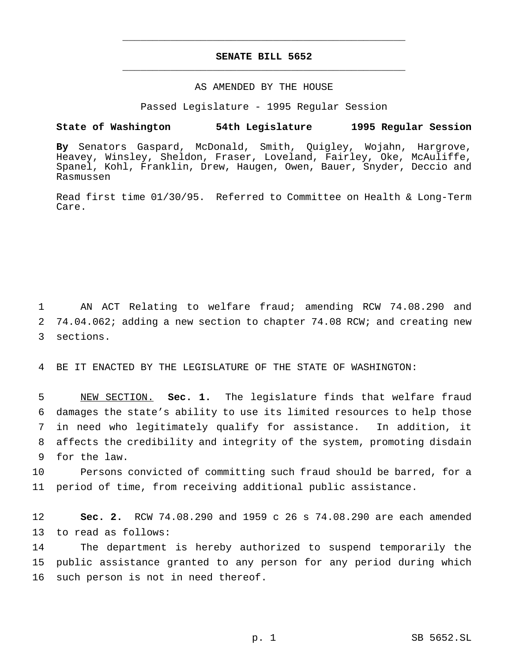## **SENATE BILL 5652** \_\_\_\_\_\_\_\_\_\_\_\_\_\_\_\_\_\_\_\_\_\_\_\_\_\_\_\_\_\_\_\_\_\_\_\_\_\_\_\_\_\_\_\_\_\_\_

\_\_\_\_\_\_\_\_\_\_\_\_\_\_\_\_\_\_\_\_\_\_\_\_\_\_\_\_\_\_\_\_\_\_\_\_\_\_\_\_\_\_\_\_\_\_\_

### AS AMENDED BY THE HOUSE

Passed Legislature - 1995 Regular Session

#### **State of Washington 54th Legislature 1995 Regular Session**

**By** Senators Gaspard, McDonald, Smith, Quigley, Wojahn, Hargrove, Heavey, Winsley, Sheldon, Fraser, Loveland, Fairley, Oke, McAuliffe, Spanel, Kohl, Franklin, Drew, Haugen, Owen, Bauer, Snyder, Deccio and Rasmussen

Read first time 01/30/95. Referred to Committee on Health & Long-Term Care.

1 AN ACT Relating to welfare fraud; amending RCW 74.08.290 and 2 74.04.062; adding a new section to chapter 74.08 RCW; and creating new 3 sections.

4 BE IT ENACTED BY THE LEGISLATURE OF THE STATE OF WASHINGTON:

 NEW SECTION. **Sec. 1.** The legislature finds that welfare fraud damages the state's ability to use its limited resources to help those in need who legitimately qualify for assistance. In addition, it affects the credibility and integrity of the system, promoting disdain for the law.

10 Persons convicted of committing such fraud should be barred, for a 11 period of time, from receiving additional public assistance.

12 **Sec. 2.** RCW 74.08.290 and 1959 c 26 s 74.08.290 are each amended 13 to read as follows:

14 The department is hereby authorized to suspend temporarily the 15 public assistance granted to any person for any period during which 16 such person is not in need thereof.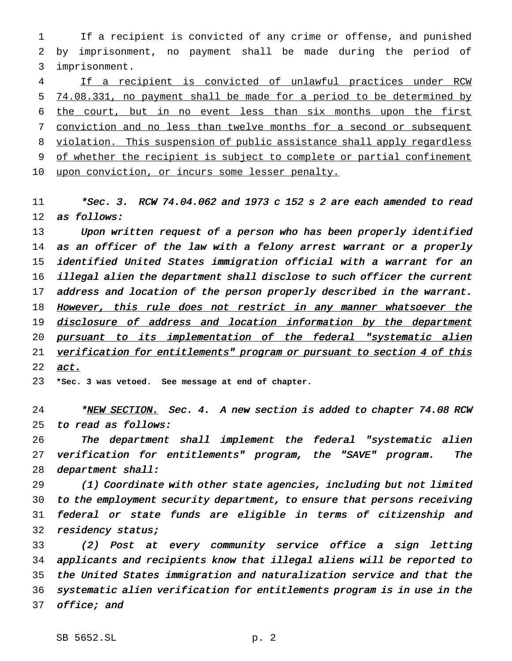If a recipient is convicted of any crime or offense, and punished by imprisonment, no payment shall be made during the period of imprisonment.

 If a recipient is convicted of unlawful practices under RCW 74.08.331, no payment shall be made for a period to be determined by the court, but in no event less than six months upon the first conviction and no less than twelve months for a second or subsequent violation. This suspension of public assistance shall apply regardless of whether the recipient is subject to complete or partial confinement 10 upon conviction, or incurs some lesser penalty.

11 \*Sec. 3. RCW 74.04.062 and 1973 c 152 s 2 are each amended to read as follows:

13 Upon written request of a person who has been properly identified 14 as an officer of the law with a felony arrest warrant or a properly identified United States immigration official with <sup>a</sup> warrant for an illegal alien the department shall disclose to such officer the current address and location of the person properly described in the warrant. 18 However, this rule does not restrict in any manner whatsoever the 19 disclosure of address and location information by the department 20 pursuant to its implementation of the federal "systematic alien 21 verification for entitlements" program or pursuant to section 4 of this 22 act.

**\*Sec. 3 was vetoed. See message at end of chapter.**

24 \*NEW SECTION. Sec. 4. A new section is added to chapter 74.08 RCW to read as follows:

 The department shall implement the federal "systematic alien verification for entitlements" program, the "SAVE" program. The department shall:

 (1) Coordinate with other state agencies, including but not limited to the employment security department, to ensure that persons receiving federal or state funds are eligible in terms of citizenship and 32 residency status;

 (2) Post at every community service office <sup>a</sup> sign letting applicants and recipients know that illegal aliens will be reported to the United States immigration and naturalization service and that the systematic alien verification for entitlements program is in use in the office; and